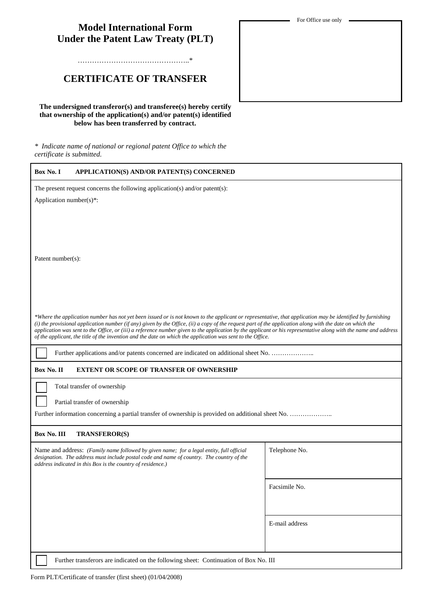# **Model International Form Under the Patent Law Treaty (PLT)**

………………………………………..\*

## **CERTIFICATE OF TRANSFER**

**The undersigned transferor(s) and transferee(s) hereby certify that ownership of the application(s) and/or patent(s) identified below has been transferred by contract.**

*\* Indicate name of national or regional patent Office to which the certificate is submitted.*

### **Box No. I APPLICATION(S) AND/OR PATENT(S) CONCERNED**

The present request concerns the following application(s) and/or patent(s):

Application number(s)\*:

Patent number(s):

*\*Where the application number has not yet been issued or is not known to the applicant or representative, that application may be identified by furnishing (i) the provisional application number (if any) given by the Office, (ii) a copy of the request part of the application along with the date on which the application was sent to the Office, or (iii) a reference number given to the application by the applicant or his representative along with the name and address of the applicant, the title of the invention and the date on which the application was sent to the Office.*

Further applications and/or patents concerned are indicated on additional sheet No. …………………

### **Box No. II EXTENT OR SCOPE OF TRANSFER OF OWNERSHIP**

Total transfer of ownership

Partial transfer of ownership

Further information concerning a partial transfer of ownership is provided on additional sheet No. ………………….

#### **Box No. III TRANSFEROR(S)**

| Name and address: (Family name followed by given name; for a legal entity, full official<br>designation. The address must include postal code and name of country. The country of the<br>address indicated in this Box is the country of residence.) | Telephone No.  |
|------------------------------------------------------------------------------------------------------------------------------------------------------------------------------------------------------------------------------------------------------|----------------|
|                                                                                                                                                                                                                                                      | Facsimile No.  |
|                                                                                                                                                                                                                                                      | E-mail address |
| Further transferors are indicated on the following sheet: Continuation of Box No. III                                                                                                                                                                |                |

For Office use only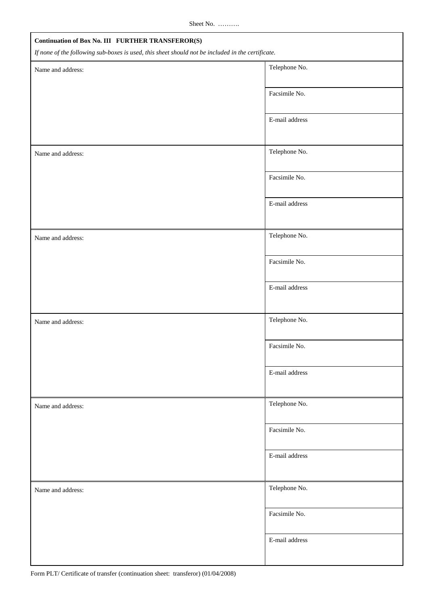Sheet No. ……….

| <b>Continuation of Box No. III FURTHER TRANSFEROR(S)</b>                                          |                |  |
|---------------------------------------------------------------------------------------------------|----------------|--|
| If none of the following sub-boxes is used, this sheet should not be included in the certificate. |                |  |
| Name and address:                                                                                 | Telephone No.  |  |
|                                                                                                   | Facsimile No.  |  |
|                                                                                                   | E-mail address |  |
| Name and address:                                                                                 | Telephone No.  |  |
|                                                                                                   | Facsimile No.  |  |
|                                                                                                   | E-mail address |  |
| Name and address:                                                                                 | Telephone No.  |  |
|                                                                                                   | Facsimile No.  |  |
|                                                                                                   | E-mail address |  |
| Name and address:                                                                                 | Telephone No.  |  |
|                                                                                                   | Facsimile No.  |  |
|                                                                                                   | E-mail address |  |
| Name and address:                                                                                 | Telephone No.  |  |
|                                                                                                   | Facsimile No.  |  |
|                                                                                                   | E-mail address |  |
| Name and address:                                                                                 | Telephone No.  |  |
|                                                                                                   | Facsimile No.  |  |
|                                                                                                   | E-mail address |  |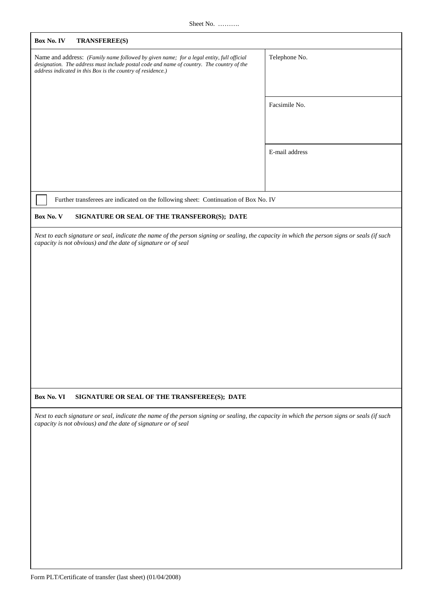| Box No. IV<br><b>TRANSFEREE(S)</b>                                                                                                                                                                                                                                          |                |
|-----------------------------------------------------------------------------------------------------------------------------------------------------------------------------------------------------------------------------------------------------------------------------|----------------|
| Name and address: (Family name followed by given name; for a legal entity, full official<br>designation. The address must include postal code and name of country. The country of the<br>address indicated in this Box is the country of residence.)                        | Telephone No.  |
|                                                                                                                                                                                                                                                                             | Facsimile No.  |
|                                                                                                                                                                                                                                                                             | E-mail address |
| Further transferees are indicated on the following sheet: Continuation of Box No. IV                                                                                                                                                                                        |                |
| Box No. V<br>SIGNATURE OR SEAL OF THE TRANSFEROR(S); DATE                                                                                                                                                                                                                   |                |
| Next to each signature or seal, indicate the name of the person signing or sealing, the capacity in which the person signs or seals (if such<br>capacity is not obvious) and the date of signature or of seal<br>Box No. VI<br>SIGNATURE OR SEAL OF THE TRANSFEREE(S); DATE |                |
|                                                                                                                                                                                                                                                                             |                |
| Next to each signature or seal, indicate the name of the person signing or sealing, the capacity in which the person signs or seals (if such<br>capacity is not obvious) and the date of signature or of seal                                                               |                |